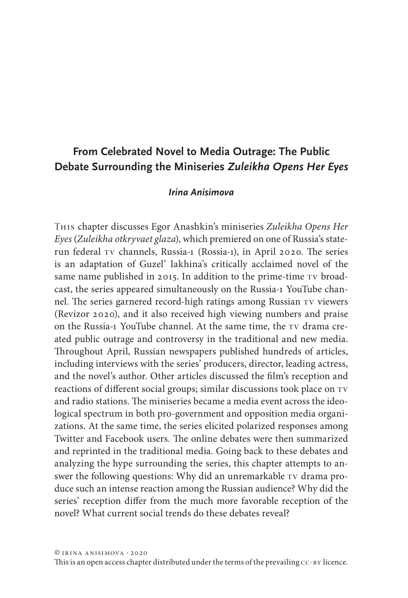# **From Celebrated Novel to Media Outrage: The Public Debate Surrounding the Miniseries** *Zuleikha Opens Her Eyes*

## *Irina Anisimova*

This chapter discusses Egor Anashkin's miniseries *Zuleikha Opens Her Eyes* (*Zuleikha otkryvaet glaza*), which premiered on one of Russia's staterun federal tv channels, Russia-1 (Rossia-1), in April 2020. The series is an adaptation of Guzel' Iakhina's critically acclaimed novel of the same name published in 2015. In addition to the prime-time TV broadcast, the series appeared simultaneously on the Russia-1 YouTube channel. The series garnered record-high ratings among Russian tv viewers (Revizor 2020), and it also received high viewing numbers and praise on the Russia-1 YouTube channel. At the same time, the TV drama created public outrage and controversy in the traditional and new media. Throughout April, Russian newspapers published hundreds of articles, including interviews with the series' producers, director, leading actress, and the novel's author. Other articles discussed the film's reception and reactions of different social groups; similar discussions took place on TV and radio stations. The miniseries became a media event across the ideological spectrum in both pro-government and opposition media organizations. At the same time, the series elicited polarized responses among Twitter and Facebook users. The online debates were then summarized and reprinted in the traditional media. Going back to these debates and analyzing the hype surrounding the series, this chapter attempts to answer the following questions: Why did an unremarkable TV drama produce such an intense reaction among the Russian audience? Why did the series' reception differ from the much more favorable reception of the novel? What current social trends do these debates reveal?

This is an open access chapter distributed under the terms of the prevailing CC-BY licence.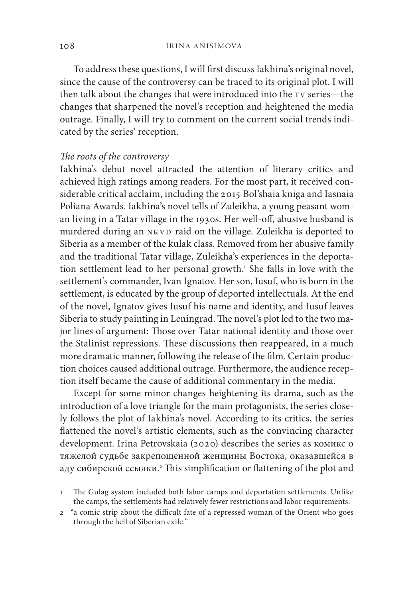To address these questions, I will first discuss Iakhina's original novel, since the cause of the controversy can be traced to its original plot. I will then talk about the changes that were introduced into the TV series—the changes that sharpened the novel's reception and heightened the media outrage. Finally, I will try to comment on the current social trends indicated by the series' reception.

### *The roots of the controversy*

Iakhina's debut novel attracted the attention of literary critics and achieved high ratings among readers. For the most part, it received considerable critical acclaim, including the 2015 Bol'shaia kniga and Iasnaia Poliana Awards. Iakhina's novel tells of Zuleikha, a young peasant woman living in a Tatar village in the 1930s. Her well-off, abusive husband is murdered during an NKVD raid on the village. Zuleikha is deported to Siberia as a member of the kulak class. Removed from her abusive family and the traditional Tatar village, Zuleikha's experiences in the deportation settlement lead to her personal growth.<sup>1</sup> She falls in love with the settlement's commander, Ivan Ignatov. Her son, Iusuf, who is born in the settlement, is educated by the group of deported intellectuals. At the end of the novel, Ignatov gives Iusuf his name and identity, and Iusuf leaves Siberia to study painting in Leningrad. The novel's plot led to the two major lines of argument: Those over Tatar national identity and those over the Stalinist repressions. These discussions then reappeared, in a much more dramatic manner, following the release of the film. Certain production choices caused additional outrage. Furthermore, the audience reception itself became the cause of additional commentary in the media.

Except for some minor changes heightening its drama, such as the introduction of a love triangle for the main protagonists, the series closely follows the plot of Iakhina's novel. According to its critics, the series flattened the novel's artistic elements, such as the convincing character development. Irina Petrovskaia (2020) describes the series as комикс о тяжелой судьбе закрепощенной женщины Востока, оказавшейся в аду сибирской ссылки.2 This simplification or flattening of the plot and

The Gulag system included both labor camps and deportation settlements. Unlike the camps, the settlements had relatively fewer restrictions and labor requirements.

<sup>2</sup> "a comic strip about the difficult fate of a repressed woman of the Orient who goes through the hell of Siberian exile."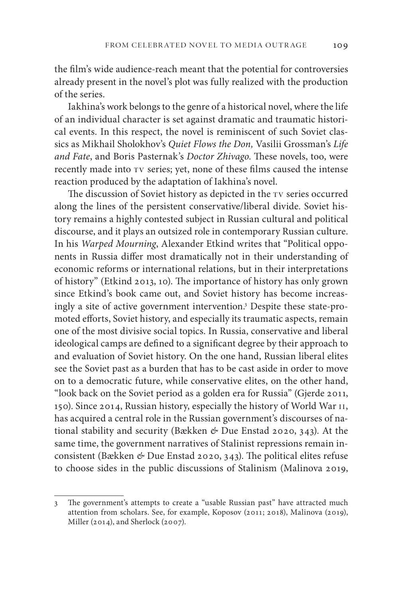the film's wide audience-reach meant that the potential for controversies already present in the novel's plot was fully realized with the production of the series.

Iakhina's work belongs to the genre of a historical novel, where the life of an individual character is set against dramatic and traumatic historical events. In this respect, the novel is reminiscent of such Soviet classics as Mikhail Sholokhov's *Quiet Flows the Don,* Vasilii Grossman's *Life and Fate*, and Boris Pasternak's *Doctor Zhivago*. These novels, too, were recently made into  $Tv$  series; yet, none of these films caused the intense reaction produced by the adaptation of Iakhina's novel.

The discussion of Soviet history as depicted in the TV series occurred along the lines of the persistent conservative/liberal divide. Soviet history remains a highly contested subject in Russian cultural and political discourse, and it plays an outsized role in contemporary Russian culture. In his *Warped Mourning*, Alexander Etkind writes that "Political opponents in Russia differ most dramatically not in their understanding of economic reforms or international relations, but in their interpretations of history" (Etkind 2013, 10). The importance of history has only grown since Etkind's book came out, and Soviet history has become increasingly a site of active government intervention.3 Despite these state-promoted efforts, Soviet history, and especially its traumatic aspects, remain one of the most divisive social topics. In Russia, conservative and liberal ideological camps are defined to a significant degree by their approach to and evaluation of Soviet history. On the one hand, Russian liberal elites see the Soviet past as a burden that has to be cast aside in order to move on to a democratic future, while conservative elites, on the other hand, "look back on the Soviet period as a golden era for Russia" (Gjerde 2011, 150). Since 2014, Russian history, especially the history of World War ii, has acquired a central role in the Russian government's discourses of national stability and security (Bækken *&* Due Enstad 2020, 343). At the same time, the government narratives of Stalinist repressions remain inconsistent (Bækken *&* Due Enstad 2020, 343). The political elites refuse to choose sides in the public discussions of Stalinism (Malinova 2019,

<sup>3</sup> The government's attempts to create a "usable Russian past" have attracted much attention from scholars. See, for example, Koposov (2011; 2018), Malinova (2019), Miller (2014), and Sherlock (2007).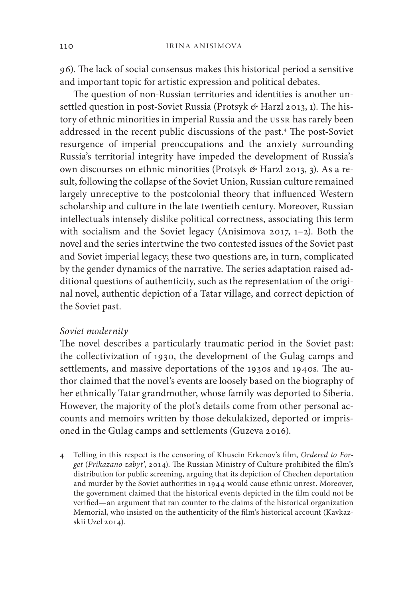96). The lack of social consensus makes this historical period a sensitive and important topic for artistic expression and political debates.

The question of non-Russian territories and identities is another unsettled question in post-Soviet Russia (Protsyk *&* Harzl 2013, 1). The history of ethnic minorities in imperial Russia and the USSR has rarely been addressed in the recent public discussions of the past.4 The post-Soviet resurgence of imperial preoccupations and the anxiety surrounding Russia's territorial integrity have impeded the development of Russia's own discourses on ethnic minorities (Protsyk *&* Harzl 2013, 3). As a result, following the collapse of the Soviet Union, Russian culture remained largely unreceptive to the postcolonial theory that influenced Western scholarship and culture in the late twentieth century. Moreover, Russian intellectuals intensely dislike political correctness, associating this term with socialism and the Soviet legacy (Anisimova 2017, 1–2). Both the novel and the series intertwine the two contested issues of the Soviet past and Soviet imperial legacy; these two questions are, in turn, complicated by the gender dynamics of the narrative. The series adaptation raised additional questions of authenticity, such as the representation of the original novel, authentic depiction of a Tatar village, and correct depiction of the Soviet past.

#### *Soviet modernity*

The novel describes a particularly traumatic period in the Soviet past: the collectivization of 1930, the development of the Gulag camps and settlements, and massive deportations of the 1930s and 1940s. The author claimed that the novel's events are loosely based on the biography of her ethnically Tatar grandmother, whose family was deported to Siberia. However, the majority of the plot's details come from other personal accounts and memoirs written by those dekulakized, deported or imprisoned in the Gulag camps and settlements (Guzeva 2016).

<sup>4</sup> Telling in this respect is the censoring of Khusein Erkenov's film, *Ordered to Forget* (*Prikazano zabyt'*, 2014). The Russian Ministry of Culture prohibited the film's distribution for public screening, arguing that its depiction of Chechen deportation and murder by the Soviet authorities in 1944 would cause ethnic unrest. Moreover, the government claimed that the historical events depicted in the film could not be verified—an argument that ran counter to the claims of the historical organization Memorial, who insisted on the authenticity of the film's historical account (Kavkazskii Uzel 2014).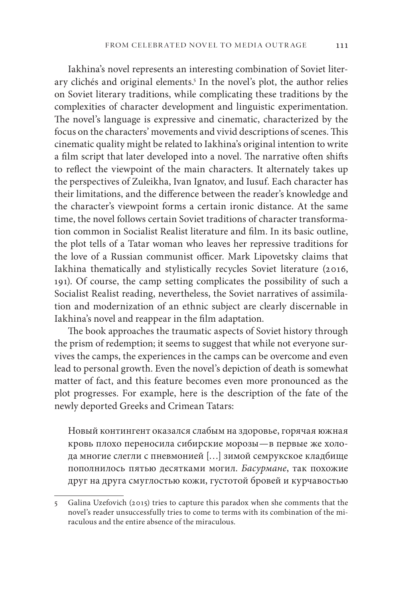Iakhina's novel represents an interesting combination of Soviet literary clichés and original elements.<sup>5</sup> In the novel's plot, the author relies on Soviet literary traditions, while complicating these traditions by the complexities of character development and linguistic experimentation. The novel's language is expressive and cinematic, characterized by the focus on the characters' movements and vivid descriptions of scenes. This cinematic quality might be related to Iakhina's original intention to write a film script that later developed into a novel. The narrative often shifts to reflect the viewpoint of the main characters. It alternately takes up the perspectives of Zuleikha, Ivan Ignatov, and Iusuf. Each character has their limitations, and the difference between the reader's knowledge and the character's viewpoint forms a certain ironic distance. At the same time, the novel follows certain Soviet traditions of character transformation common in Socialist Realist literature and film. In its basic outline, the plot tells of a Tatar woman who leaves her repressive traditions for the love of a Russian communist officer. Mark Lipovetsky claims that Iakhina thematically and stylistically recycles Soviet literature (2016, 191). Of course, the camp setting complicates the possibility of such a Socialist Realist reading, nevertheless, the Soviet narratives of assimilation and modernization of an ethnic subject are clearly discernable in Iakhina's novel and reappear in the film adaptation.

The book approaches the traumatic aspects of Soviet history through the prism of redemption; it seems to suggest that while not everyone survives the camps, the experiences in the camps can be overcome and even lead to personal growth. Even the novel's depiction of death is somewhat matter of fact, and this feature becomes even more pronounced as the plot progresses. For example, here is the description of the fate of the newly deported Greeks and Crimean Tatars:

Новый контингент оказался слабым на здоровье, горячая южная кровь плохо переносила сибирские морозы—в первые же холода многие слегли с пневмонией […] зимой семрукское кладбище пополнилось пятью десятками могил. *Басурмане*, так похожие друг на друга смуглостью кожи, густотой бровей и курчавостью

<sup>5</sup> Galina Uzefovich (2015) tries to capture this paradox when she comments that the novel's reader unsuccessfully tries to come to terms with its combination of the miraculous and the entire absence of the miraculous.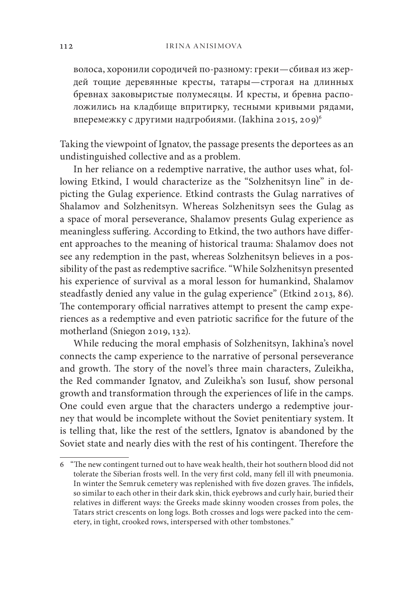волоса, хоронили сородичей по-разному: греки—сбивая из жердей тощие деревянные кресты, татары—строгая на длинных бревнах заковыристые полумесяцы. И кресты, и бревна расположились на кладбище впритирку, тесными кривыми рядами, вперемежку с другими надгробиями. (Iakhina 2015, 209)6

Taking the viewpoint of Ignatov, the passage presents the deportees as an undistinguished collective and as a problem.

In her reliance on a redemptive narrative, the author uses what, following Etkind, I would characterize as the "Solzhenitsyn line" in depicting the Gulag experience. Etkind contrasts the Gulag narratives of Shalamov and Solzhenitsyn. Whereas Solzhenitsyn sees the Gulag as a space of moral perseverance, Shalamov presents Gulag experience as meaningless suffering. According to Etkind, the two authors have different approaches to the meaning of historical trauma: Shalamov does not see any redemption in the past, whereas Solzhenitsyn believes in a possibility of the past as redemptive sacrifice. "While Solzhenitsyn presented his experience of survival as a moral lesson for humankind, Shalamov steadfastly denied any value in the gulag experience" (Etkind 2013, 86). The contemporary official narratives attempt to present the camp experiences as a redemptive and even patriotic sacrifice for the future of the motherland (Sniegon 2019, 132).

While reducing the moral emphasis of Solzhenitsyn, Iakhina's novel connects the camp experience to the narrative of personal perseverance and growth. The story of the novel's three main characters, Zuleikha, the Red commander Ignatov, and Zuleikha's son Iusuf, show personal growth and transformation through the experiences of life in the camps. One could even argue that the characters undergo a redemptive journey that would be incomplete without the Soviet penitentiary system. It is telling that, like the rest of the settlers, Ignatov is abandoned by the Soviet state and nearly dies with the rest of his contingent. Therefore the

<sup>6</sup> "The new contingent turned out to have weak health, their hot southern blood did not tolerate the Siberian frosts well. In the very first cold, many fell ill with pneumonia. In winter the Semruk cemetery was replenished with five dozen graves. The infidels, so similar to each other in their dark skin, thick eyebrows and curly hair, buried their relatives in different ways: the Greeks made skinny wooden crosses from poles, the Tatars strict crescents on long logs. Both crosses and logs were packed into the cemetery, in tight, crooked rows, interspersed with other tombstones."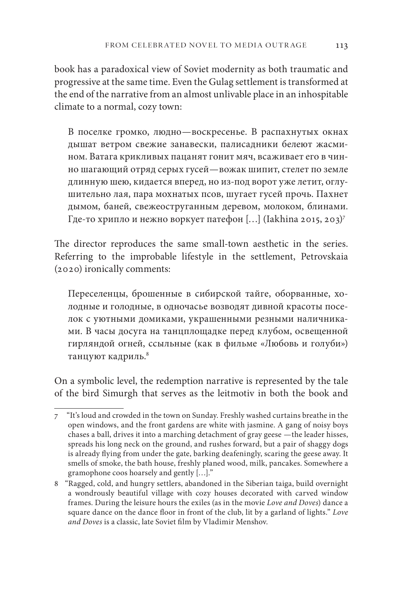book has a paradoxical view of Soviet modernity as both traumatic and progressive at the same time. Even the Gulag settlement is transformed at the end of the narrative from an almost unlivable place in an inhospitable climate to a normal, cozy town:

В поселке громко, людно—воскресенье. В распахнутых окнах дышат ветром свежие занавески, палисадники белеют жасмином. Ватага крикливых пацанят гонит мяч, всаживает его в чинно шагающий отряд серых гусей—вожак шипит, стелет по земле длинную шею, кидается вперед, но из-под ворот уже летит, оглушительно лая, пара мохнатых псов, шугает гусей прочь. Пахнет дымом, баней, свежеоструганным деревом, молоком, блинами. Где-то хрипло и нежно воркует патефон [...] (Iakhina 2015, 203)<sup>7</sup>

The director reproduces the same small-town aesthetic in the series. Referring to the improbable lifestyle in the settlement, Petrovskaia (2020) ironically comments:

Переселенцы, брошенные в сибирской тайге, оборванные, холодные и голодные, в одночасье возводят дивной красоты поселок с уютными домиками, украшенными резными наличниками. В часы досуга на танцплощадке перед клубом, освещенной гирляндой огней, ссыльные (как в фильме «Любовь и голуби») танцуют кадриль.<sup>8</sup>

On a symbolic level, the redemption narrative is represented by the tale of the bird Simurgh that serves as the leitmotiv in both the book and

<sup>7 &</sup>quot;It's loud and crowded in the town on Sunday. Freshly washed curtains breathe in the open windows, and the front gardens are white with jasmine. A gang of noisy boys chases a ball, drives it into a marching detachment of gray geese —the leader hisses, spreads his long neck on the ground, and rushes forward, but a pair of shaggy dogs is already flying from under the gate, barking deafeningly, scaring the geese away. It smells of smoke, the bath house, freshly planed wood, milk, pancakes. Somewhere a gramophone coos hoarsely and gently […]."

<sup>8</sup> "Ragged, cold, and hungry settlers, abandoned in the Siberian taiga, build overnight a wondrously beautiful village with cozy houses decorated with carved window frames. During the leisure hours the exiles (as in the movie *Love and Doves*) dance a square dance on the dance floor in front of the club, lit by a garland of lights." *Love and Doves* is a classic, late Soviet film by Vladimir Menshov.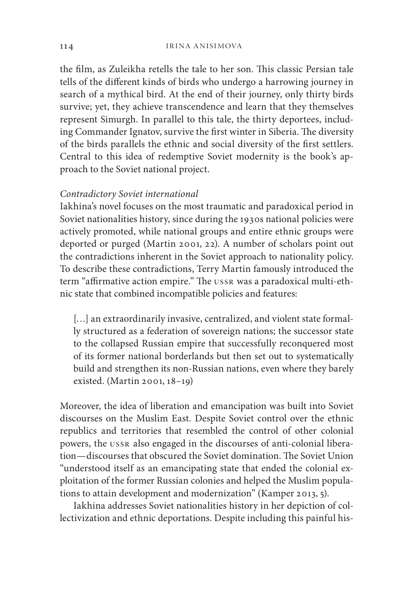the film, as Zuleikha retells the tale to her son. This classic Persian tale tells of the different kinds of birds who undergo a harrowing journey in search of a mythical bird. At the end of their journey, only thirty birds survive; yet, they achieve transcendence and learn that they themselves represent Simurgh. In parallel to this tale, the thirty deportees, including Commander Ignatov, survive the first winter in Siberia. The diversity of the birds parallels the ethnic and social diversity of the first settlers. Central to this idea of redemptive Soviet modernity is the book's approach to the Soviet national project.

#### *Contradictory Soviet international*

Iakhina's novel focuses on the most traumatic and paradoxical period in Soviet nationalities history, since during the 1930s national policies were actively promoted, while national groups and entire ethnic groups were deported or purged (Martin 2001, 22). A number of scholars point out the contradictions inherent in the Soviet approach to nationality policy. To describe these contradictions, Terry Martin famously introduced the term "affirmative action empire." The ussr was a paradoxical multi-ethnic state that combined incompatible policies and features:

[...] an extraordinarily invasive, centralized, and violent state formally structured as a federation of sovereign nations; the successor state to the collapsed Russian empire that successfully reconquered most of its former national borderlands but then set out to systematically build and strengthen its non-Russian nations, even where they barely existed. (Martin 2001, 18–19)

Moreover, the idea of liberation and emancipation was built into Soviet discourses on the Muslim East. Despite Soviet control over the ethnic republics and territories that resembled the control of other colonial powers, the ussr also engaged in the discourses of anti-colonial liberation—discourses that obscured the Soviet domination. The Soviet Union "understood itself as an emancipating state that ended the colonial exploitation of the former Russian colonies and helped the Muslim populations to attain development and modernization" (Kamper 2013, 5).

Iakhina addresses Soviet nationalities history in her depiction of collectivization and ethnic deportations. Despite including this painful his-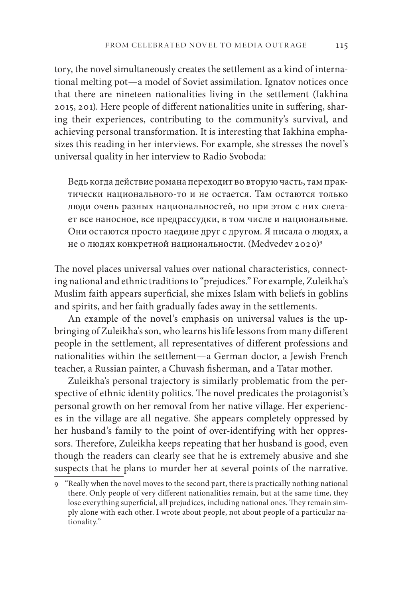tory, the novel simultaneously creates the settlement as a kind of international melting pot—a model of Soviet assimilation. Ignatov notices once that there are nineteen nationalities living in the settlement (Iakhina 2015, 201). Here people of different nationalities unite in suffering, sharing their experiences, contributing to the community's survival, and achieving personal transformation. It is interesting that Iakhina emphasizes this reading in her interviews. For example, she stresses the novel's universal quality in her interview to Radio Svoboda:

Ведь когда действие романа переходит во вторую часть, там практически национального-то и не остается. Там остаются только люди очень разных национальностей, но при этом с них слетает все наносное, все предрассудки, в том числе и национальные. Они остаются просто наедине друг с другом. Я писала о людях, а не о людях конкретной национальности. (Medvedev 2020)9

The novel places universal values over national characteristics, connecting national and ethnic traditions to "prejudices." For example, Zuleikha's Muslim faith appears superficial, she mixes Islam with beliefs in goblins and spirits, and her faith gradually fades away in the settlements.

An example of the novel's emphasis on universal values is the upbringing of Zuleikha's son, who learns his life lessons from many different people in the settlement, all representatives of different professions and nationalities within the settlement—a German doctor, a Jewish French teacher, a Russian painter, a Chuvash fisherman, and a Tatar mother.

Zuleikha's personal trajectory is similarly problematic from the perspective of ethnic identity politics. The novel predicates the protagonist's personal growth on her removal from her native village. Her experiences in the village are all negative. She appears completely oppressed by her husband's family to the point of over-identifying with her oppressors. Therefore, Zuleikha keeps repeating that her husband is good, even though the readers can clearly see that he is extremely abusive and she suspects that he plans to murder her at several points of the narrative.

<sup>9</sup> "Really when the novel moves to the second part, there is practically nothing national there. Only people of very different nationalities remain, but at the same time, they lose everything superficial, all prejudices, including national ones. They remain simply alone with each other. I wrote about people, not about people of a particular nationality."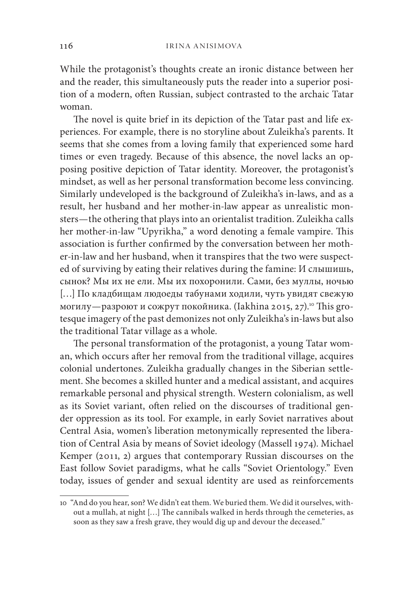While the protagonist's thoughts create an ironic distance between her and the reader, this simultaneously puts the reader into a superior position of a modern, often Russian, subject contrasted to the archaic Tatar woman.

The novel is quite brief in its depiction of the Tatar past and life experiences. For example, there is no storyline about Zuleikha's parents. It seems that she comes from a loving family that experienced some hard times or even tragedy. Because of this absence, the novel lacks an opposing positive depiction of Tatar identity. Moreover, the protagonist's mindset, as well as her personal transformation become less convincing. Similarly undeveloped is the background of Zuleikha's in-laws, and as a result, her husband and her mother-in-law appear as unrealistic monsters—the othering that plays into an orientalist tradition. Zuleikha calls her mother-in-law "Upyrikha," a word denoting a female vampire. This association is further confirmed by the conversation between her mother-in-law and her husband, when it transpires that the two were suspected of surviving by eating their relatives during the famine: И слышишь, сынок? Мы их не ели. Мы их похоронили. Сами, без муллы, ночью […] По кладбищам людоеды табунами ходили, чуть увидят свежую могилу—разроют и сожрут покойника. (Iakhina 2015, 27).<sup>10</sup> This grotesque imagery of the past demonizes not only Zuleikha's in-laws but also the traditional Tatar village as a whole.

The personal transformation of the protagonist, a young Tatar woman, which occurs after her removal from the traditional village, acquires colonial undertones. Zuleikha gradually changes in the Siberian settlement. She becomes a skilled hunter and a medical assistant, and acquires remarkable personal and physical strength. Western colonialism, as well as its Soviet variant, often relied on the discourses of traditional gender oppression as its tool. For example, in early Soviet narratives about Central Asia, women's liberation metonymically represented the liberation of Central Asia by means of Soviet ideology (Massell 1974). Michael Kemper (2011, 2) argues that contemporary Russian discourses on the East follow Soviet paradigms, what he calls "Soviet Orientology." Even today, issues of gender and sexual identity are used as reinforcements

<sup>10</sup> "And do you hear, son? We didn't eat them. We buried them. We did it ourselves, without a mullah, at night […] The cannibals walked in herds through the cemeteries, as soon as they saw a fresh grave, they would dig up and devour the deceased."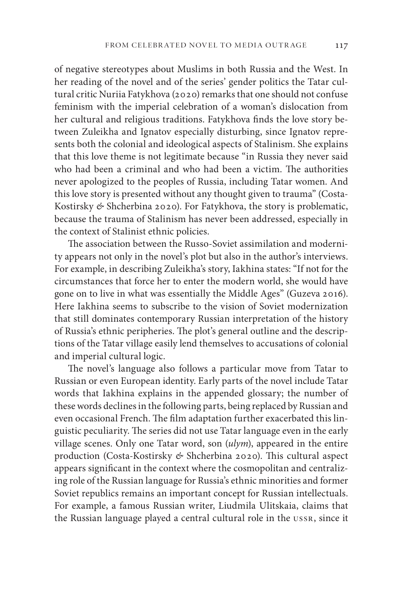of negative stereotypes about Muslims in both Russia and the West. In her reading of the novel and of the series' gender politics the Tatar cultural critic Nuriia Fatykhova (2020) remarks that one should not confuse feminism with the imperial celebration of a woman's dislocation from her cultural and religious traditions. Fatykhova finds the love story between Zuleikha and Ignatov especially disturbing, since Ignatov represents both the colonial and ideological aspects of Stalinism. She explains that this love theme is not legitimate because "in Russia they never said who had been a criminal and who had been a victim. The authorities never apologized to the peoples of Russia, including Tatar women. And this love story is presented without any thought given to trauma" (Costa-Kostirsky *&* Shcherbina 2020). For Fatykhova, the story is problematic, because the trauma of Stalinism has never been addressed, especially in the context of Stalinist ethnic policies.

The association between the Russo-Soviet assimilation and modernity appears not only in the novel's plot but also in the author's interviews. For example, in describing Zuleikha's story, Iakhina states: "If not for the circumstances that force her to enter the modern world, she would have gone on to live in what was essentially the Middle Ages" (Guzeva 2016). Here Iakhina seems to subscribe to the vision of Soviet modernization that still dominates contemporary Russian interpretation of the history of Russia's ethnic peripheries. The plot's general outline and the descriptions of the Tatar village easily lend themselves to accusations of colonial and imperial cultural logic.

The novel's language also follows a particular move from Tatar to Russian or even European identity. Early parts of the novel include Tatar words that Iakhina explains in the appended glossary; the number of these words declines in the following parts, being replaced by Russian and even occasional French. The film adaptation further exacerbated this linguistic peculiarity. The series did not use Tatar language even in the early village scenes. Only one Tatar word, son (*ulym*), appeared in the entire production (Costa-Kostirsky *&* Shcherbina 2020). This cultural aspect appears significant in the context where the cosmopolitan and centralizing role of the Russian language for Russia's ethnic minorities and former Soviet republics remains an important concept for Russian intellectuals. For example, a famous Russian writer, Liudmila Ulitskaia, claims that the Russian language played a central cultural role in the ussr, since it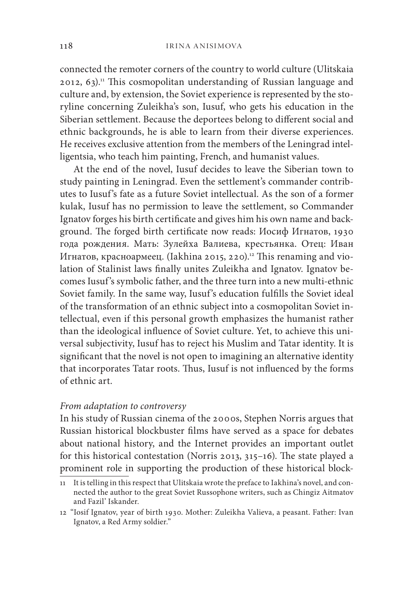connected the remoter corners of the country to world culture (Ulitskaia  $2012, 63$ .<sup>11</sup> This cosmopolitan understanding of Russian language and culture and, by extension, the Soviet experience is represented by the storyline concerning Zuleikha's son, Iusuf, who gets his education in the Siberian settlement. Because the deportees belong to different social and ethnic backgrounds, he is able to learn from their diverse experiences. He receives exclusive attention from the members of the Leningrad intelligentsia, who teach him painting, French, and humanist values.

At the end of the novel, Iusuf decides to leave the Siberian town to study painting in Leningrad. Even the settlement's commander contributes to Iusuf's fate as a future Soviet intellectual. As the son of a former kulak, Iusuf has no permission to leave the settlement, so Commander Ignatov forges his birth certificate and gives him his own name and background. The forged birth certificate now reads: Иосиф Игнатов, 1930 года рождения. Мать: Зулейха Валиева, крестьянка. Отец: Иван Игнатов, красноармеец. (Iakhina 2015, 220).<sup>12</sup> This renaming and violation of Stalinist laws finally unites Zuleikha and Ignatov. Ignatov becomes Iusuf's symbolic father, and the three turn into a new multi-ethnic Soviet family. In the same way, Iusuf's education fulfills the Soviet ideal of the transformation of an ethnic subject into a cosmopolitan Soviet intellectual, even if this personal growth emphasizes the humanist rather than the ideological influence of Soviet culture. Yet, to achieve this universal subjectivity, Iusuf has to reject his Muslim and Tatar identity. It is significant that the novel is not open to imagining an alternative identity that incorporates Tatar roots. Thus, Iusuf is not influenced by the forms of ethnic art.

#### *From adaptation to controversy*

In his study of Russian cinema of the 2000s, Stephen Norris argues that Russian historical blockbuster films have served as a space for debates about national history, and the Internet provides an important outlet for this historical contestation (Norris 2013, 315–16). The state played a prominent role in supporting the production of these historical block-

<sup>11</sup> It is telling in this respect that Ulitskaia wrote the preface to Iakhina's novel, and connected the author to the great Soviet Russophone writers, such as Chingiz Aitmatov and Fazil' Iskander.

<sup>12</sup> "Iosif Ignatov, year of birth 1930. Mother: Zuleikha Valieva, a peasant. Father: Ivan Ignatov, a Red Army soldier."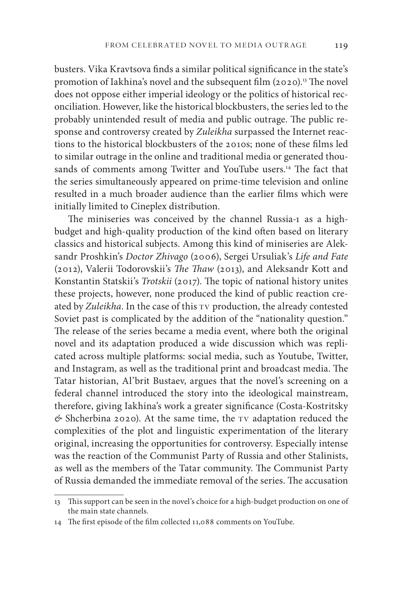busters. Vika Kravtsova finds a similar political significance in the state's promotion of Iakhina's novel and the subsequent film  $(2020)^{13}$  The novel does not oppose either imperial ideology or the politics of historical reconciliation. However, like the historical blockbusters, the series led to the probably unintended result of media and public outrage. The public response and controversy created by *Zuleikha* surpassed the Internet reactions to the historical blockbusters of the 2010s; none of these films led to similar outrage in the online and traditional media or generated thousands of comments among Twitter and YouTube users.<sup>14</sup> The fact that the series simultaneously appeared on prime-time television and online resulted in a much broader audience than the earlier films which were initially limited to Cineplex distribution.

The miniseries was conceived by the channel Russia-1 as a highbudget and high-quality production of the kind often based on literary classics and historical subjects. Among this kind of miniseries are Aleksandr Proshkin's *Doctor Zhivago* (2006), Sergei Ursuliak's *Life and Fate* (2012), Valerii Todorovskii's *The Thaw* (2013), and Aleksandr Kott and Konstantin Statskii's *Trotskii* (2017). The topic of national history unites these projects, however, none produced the kind of public reaction created by *Zuleikha*. In the case of this TV production, the already contested Soviet past is complicated by the addition of the "nationality question." The release of the series became a media event, where both the original novel and its adaptation produced a wide discussion which was replicated across multiple platforms: social media, such as Youtube, Twitter, and Instagram, as well as the traditional print and broadcast media. The Tatar historian, Al'brit Bustaev, argues that the novel's screening on a federal channel introduced the story into the ideological mainstream, therefore, giving Iakhina's work a greater significance (Costa-Kostritsky  $\&$  Shcherbina 2020). At the same time, the TV adaptation reduced the complexities of the plot and linguistic experimentation of the literary original, increasing the opportunities for controversy. Especially intense was the reaction of the Communist Party of Russia and other Stalinists, as well as the members of the Tatar community. The Communist Party of Russia demanded the immediate removal of the series. The accusation

<sup>13</sup> This support can be seen in the novel's choice for a high-budget production on one of the main state channels.

<sup>14</sup> The first episode of the film collected 11,088 comments on YouTube.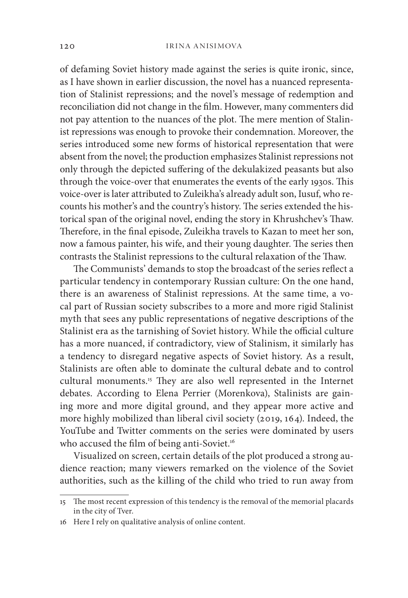of defaming Soviet history made against the series is quite ironic, since, as I have shown in earlier discussion, the novel has a nuanced representation of Stalinist repressions; and the novel's message of redemption and reconciliation did not change in the film. However, many commenters did not pay attention to the nuances of the plot. The mere mention of Stalinist repressions was enough to provoke their condemnation. Moreover, the series introduced some new forms of historical representation that were absent from the novel; the production emphasizes Stalinist repressions not only through the depicted suffering of the dekulakized peasants but also through the voice-over that enumerates the events of the early 1930s. This voice-over is later attributed to Zuleikha's already adult son, Iusuf, who recounts his mother's and the country's history. The series extended the historical span of the original novel, ending the story in Khrushchev's Thaw. Therefore, in the final episode, Zuleikha travels to Kazan to meet her son, now a famous painter, his wife, and their young daughter. The series then contrasts the Stalinist repressions to the cultural relaxation of the Thaw.

The Communists' demands to stop the broadcast of the series reflect a particular tendency in contemporary Russian culture: On the one hand, there is an awareness of Stalinist repressions. At the same time, a vocal part of Russian society subscribes to a more and more rigid Stalinist myth that sees any public representations of negative descriptions of the Stalinist era as the tarnishing of Soviet history. While the official culture has a more nuanced, if contradictory, view of Stalinism, it similarly has a tendency to disregard negative aspects of Soviet history. As a result, Stalinists are often able to dominate the cultural debate and to control cultural monuments.<sup>15</sup> They are also well represented in the Internet debates. According to Elena Perrier (Morenkova), Stalinists are gaining more and more digital ground, and they appear more active and more highly mobilized than liberal civil society (2019, 164). Indeed, the YouTube and Twitter comments on the series were dominated by users who accused the film of being anti-Soviet.<sup>16</sup>

Visualized on screen, certain details of the plot produced a strong audience reaction; many viewers remarked on the violence of the Soviet authorities, such as the killing of the child who tried to run away from

<sup>15</sup> The most recent expression of this tendency is the removal of the memorial placards in the city of Tver.

<sup>16</sup> Here I rely on qualitative analysis of online content.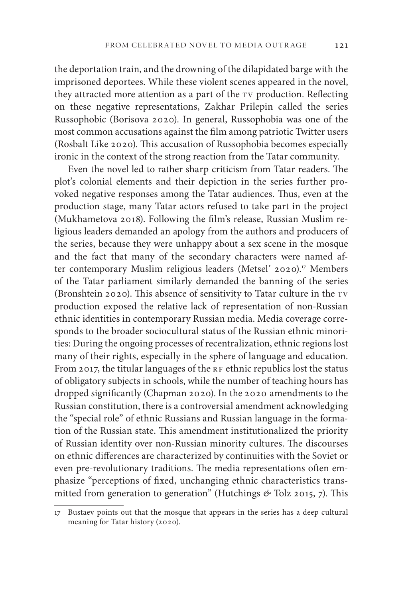the deportation train, and the drowning of the dilapidated barge with the imprisoned deportees. While these violent scenes appeared in the novel, they attracted more attention as a part of the tv production. Reflecting on these negative representations, Zakhar Prilepin called the series Russophobic (Borisova 2020). In general, Russophobia was one of the most common accusations against the film among patriotic Twitter users (Rosbalt Like 2020). This accusation of Russophobia becomes especially ironic in the context of the strong reaction from the Tatar community.

Even the novel led to rather sharp criticism from Tatar readers. The plot's colonial elements and their depiction in the series further provoked negative responses among the Tatar audiences. Thus, even at the production stage, many Tatar actors refused to take part in the project (Mukhametova 2018). Following the film's release, Russian Muslim religious leaders demanded an apology from the authors and producers of the series, because they were unhappy about a sex scene in the mosque and the fact that many of the secondary characters were named after contemporary Muslim religious leaders (Metsel' 2020).<sup>17</sup> Members of the Tatar parliament similarly demanded the banning of the series (Bronshtein 2020). This absence of sensitivity to Tatar culture in the TV production exposed the relative lack of representation of non-Russian ethnic identities in contemporary Russian media. Media coverage corresponds to the broader sociocultural status of the Russian ethnic minorities: During the ongoing processes of recentralization, ethnic regions lost many of their rights, especially in the sphere of language and education. From 2017, the titular languages of the  $RF$  ethnic republics lost the status of obligatory subjects in schools, while the number of teaching hours has dropped significantly (Chapman 2020). In the 2020 amendments to the Russian constitution, there is a controversial amendment acknowledging the "special role" of ethnic Russians and Russian language in the formation of the Russian state. This amendment institutionalized the priority of Russian identity over non-Russian minority cultures. The discourses on ethnic differences are characterized by continuities with the Soviet or even pre-revolutionary traditions. The media representations often emphasize "perceptions of fixed, unchanging ethnic characteristics transmitted from generation to generation" (Hutchings *&* Tolz 2015, 7). This

<sup>17</sup> Bustaev points out that the mosque that appears in the series has a deep cultural meaning for Tatar history (2020).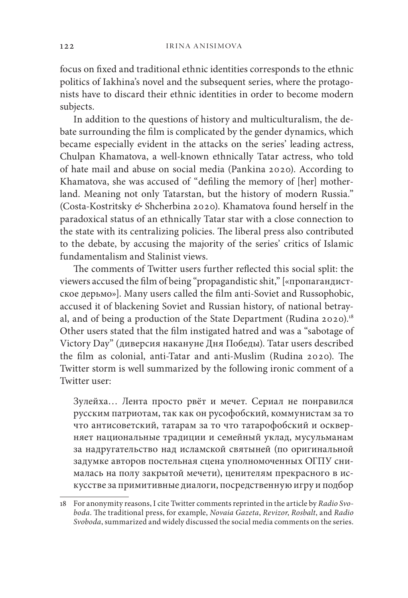focus on fixed and traditional ethnic identities corresponds to the ethnic politics of Iakhina's novel and the subsequent series, where the protagonists have to discard their ethnic identities in order to become modern subjects.

In addition to the questions of history and multiculturalism, the debate surrounding the film is complicated by the gender dynamics, which became especially evident in the attacks on the series' leading actress, Chulpan Khamatova, a well-known ethnically Tatar actress, who told of hate mail and abuse on social media (Pankina 2020). According to Khamatova, she was accused of "defiling the memory of [her] motherland. Meaning not only Tatarstan, but the history of modern Russia." (Costa-Kostritsky *&* Shcherbina 2020). Khamatova found herself in the paradoxical status of an ethnically Tatar star with a close connection to the state with its centralizing policies. The liberal press also contributed to the debate, by accusing the majority of the series' critics of Islamic fundamentalism and Stalinist views.

The comments of Twitter users further reflected this social split: the viewers accused the film of being "propagandistic shit," [«пропагандистское дерьмо»]. Many users called the film anti-Soviet and Russophobic, accused it of blackening Soviet and Russian history, of national betrayal, and of being a production of the State Department (Rudina 2020).<sup>18</sup> Other users stated that the film instigated hatred and was a "sabotage of Victory Day" (диверсия накануне Дня Победы). Tatar users described the film as colonial, anti-Tatar and anti-Muslim (Rudina 2020). The Twitter storm is well summarized by the following ironic comment of a Twitter user:

Зулейха… Лента просто рвёт и мечет. Сериал не понравился русским патриотам, так как он русофобский, коммунистам за то что антисоветский, татарам за то что татарофобский и оскверняет национальные традиции и семейный уклад, мусульманам за надругательство над исламской святыней (по оригинальной задумке авторов постельная сцена уполномоченных ОГПУ снималась на полу закрытой мечети), ценителям прекрасного в искусстве за примитивные диалоги, посредственную игру и подбор

<sup>18</sup> For anonymity reasons, I cite Twitter comments reprinted in the article by *Radio Svoboda*. The traditional press, for example, *Novaia Gazeta*, *Revizor*, *Rosbalt*, and *Radio Svoboda*, summarized and widely discussed the social media comments on the series.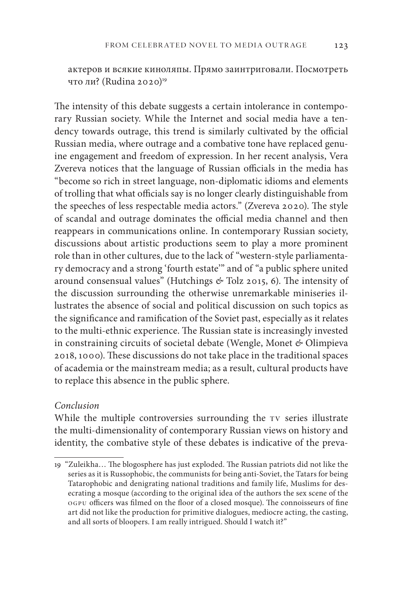актеров и всякие киноляпы. Прямо заинтриговали. Посмотреть что ли? (Rudina 2020)<sup>19</sup>

The intensity of this debate suggests a certain intolerance in contemporary Russian society. While the Internet and social media have a tendency towards outrage, this trend is similarly cultivated by the official Russian media, where outrage and a combative tone have replaced genuine engagement and freedom of expression. In her recent analysis, Vera Zvereva notices that the language of Russian officials in the media has "become so rich in street language, non-diplomatic idioms and elements of trolling that what officials say is no longer clearly distinguishable from the speeches of less respectable media actors." (Zvereva 2020). The style of scandal and outrage dominates the official media channel and then reappears in communications online. In contemporary Russian society, discussions about artistic productions seem to play a more prominent role than in other cultures, due to the lack of "western-style parliamentary democracy and a strong 'fourth estate'" and of "a public sphere united around consensual values" (Hutchings *&* Tolz 2015, 6). The intensity of the discussion surrounding the otherwise unremarkable miniseries illustrates the absence of social and political discussion on such topics as the significance and ramification of the Soviet past, especially as it relates to the multi-ethnic experience. The Russian state is increasingly invested in constraining circuits of societal debate (Wengle, Monet *&* Olimpieva 2018, 1000). These discussions do not take place in the traditional spaces of academia or the mainstream media; as a result, cultural products have to replace this absence in the public sphere.

#### *Conclusion*

While the multiple controversies surrounding the tv series illustrate the multi-dimensionality of contemporary Russian views on history and identity, the combative style of these debates is indicative of the preva-

<sup>19</sup> "Zuleikha… The blogosphere has just exploded. The Russian patriots did not like the series as it is Russophobic, the communists for being anti-Soviet, the Tatars for being Tatarophobic and denigrating national traditions and family life, Muslims for desecrating a mosque (according to the original idea of the authors the sex scene of the ogpu officers was filmed on the floor of a closed mosque). The connoisseurs of fine art did not like the production for primitive dialogues, mediocre acting, the casting, and all sorts of bloopers. I am really intrigued. Should I watch it?"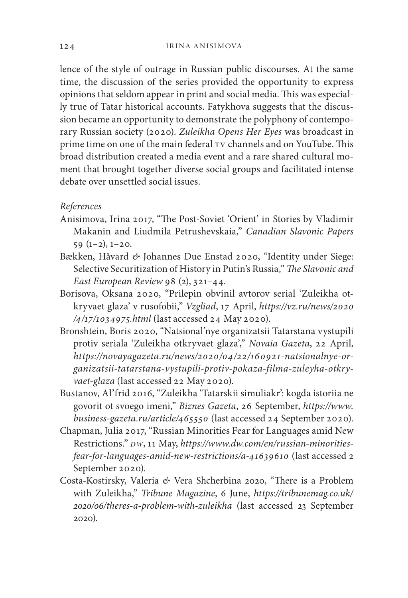lence of the style of outrage in Russian public discourses. At the same time, the discussion of the series provided the opportunity to express opinions that seldom appear in print and social media. This was especially true of Tatar historical accounts. Fatykhova suggests that the discussion became an opportunity to demonstrate the polyphony of contemporary Russian society (2020). *Zuleikha Opens Her Eyes* was broadcast in prime time on one of the main federal  $\tau v$  channels and on YouTube. This broad distribution created a media event and a rare shared cultural moment that brought together diverse social groups and facilitated intense debate over unsettled social issues.

## *References*

- Anisimova, Irina 2017, "The Post-Soviet 'Orient' in Stories by Vladimir Makanin and Liudmila Petrushevskaia," *Canadian Slavonic Papers*  $59(1-2), 1-20.$
- Bækken, Håvard *&* Johannes Due Enstad 2020, "Identity under Siege: Selective Securitization of History in Putin's Russia," *The Slavonic and East European Review* 98 (2), 321–44.
- Borisova, Oksana 2020, "Prilepin obvinil avtorov serial 'Zuleikha otkryvaet glaza' v rusofobii," *Vzgliad*, 17 April, *https://vz.ru/news/2020 /4/17/1034975.html* (last accessed 24 May 2020).
- Bronshtein, Boris 2020, "Natsional'nye organizatsii Tatarstana vystupili protiv seriala 'Zuleikha otkryvaet glaza'," *Novaia Gazeta*, 22 April, *https://novayagazeta.ru/news/2020/04/22/160921-natsionalnye-organizatsii-tatarstana-vystupili-protiv-pokaza-filma-zuleyha-otkryvaet-glaza* (last accessed 22 May 2020).
- Bustanov, Al'frid 2016, "Zuleikha 'Tatarskii simuliakr': kogda istoriia ne govorit ot svoego imeni," *Biznes Gazeta*, 26 September, *https://www. business-gazeta.ru/article/465550* (last accessed 24 September 2020).
- Chapman, Julia 2017, "Russian Minorities Fear for Languages amid New Restrictions." *dw*, 11 May, *https://www.dw.com/en/russian-minoritiesfear-for-languages-amid-new-restrictions/a-41639610* (last accessed 2 September 2020).
- Costa-Kostirsky, Valeria *&* Vera Shcherbina 2020, "There is a Problem with Zuleikha," *Tribune Magazine*, 6 June, *https://tribunemag.co.uk/ 2020/06/theres-a-problem-with-zuleikha* (last accessed 23 September 2020).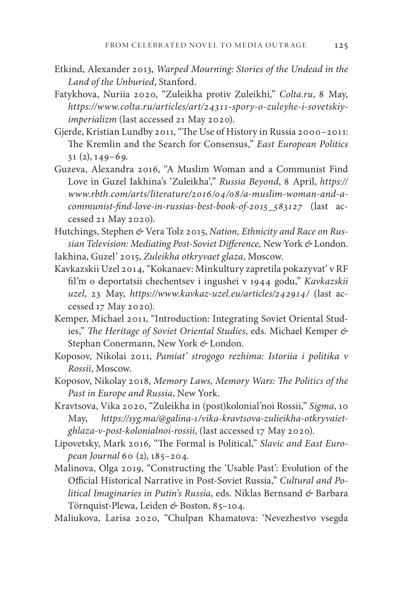- Etkind, Alexander 2013, *Warped Mourning: Stories of the Undead in the Land of the Unburied*, Stanford.
- Fatykhova, Nuriia 2020, "Zuleikha protiv Zuleikhi," *Colta.ru*, 8 May, *https://www.colta.ru/articles/art/24311-spory-o-zuleyhe-i-sovetskiyimperializm* (last accessed 21 May 2020).
- Gjerde, Kristian Lundby 2011, "The Use of History in Russia 2000–2011: The Kremlin and the Search for Consensus," *East European Politics*  $31$  (2),  $149 - 69$ .
- Guzeva, Alexandra 2016, "A Muslim Woman and a Communist Find Love in Guzel Iakhina's 'Zuleikha'," *Russia Beyond*, 8 April, *https:// www.rbth.com/arts/literature/2016/04/08/a-muslim-woman-and-acommunist-find-love-in-russias-best-book-of-2015\_583127* (last accessed 21 May 2020).
- Hutchings, Stephen *&* Vera Tolz 2015, *Nation, Ethnicity and Race on Russian Television: Mediating Post-Soviet Difference,* New York *&* London.
- Iakhina, Guzel' 2015, *Zuleikha otkryvaet glaza*, Moscow.
- Kavkazskii Uzel 2014, "Kokanaev: Minkultury zapretila pokazyvat' v RF fil'm o deportatsii chechentsev i ingushei v 1944 godu," *Kavkazskii uzel*, 23 May, *https://www.kavkaz-uzel.eu/articles/242914/* (last accessed 17 May 2020).
- Kemper, Michael 2011, "Introduction: Integrating Soviet Oriental Studies," *The Heritage of Soviet Oriental Studies*, eds. Michael Kemper *&* Stephan Conermann, New York *&* London.
- Koposov, Nikolai 2011, *Pamiat' strogogo rezhima: Istoriia i politika v Rossii*, Moscow.
- Koposov, Nikolay 2018, *Memory Laws, Memory Wars: The Politics of the Past in Europe and Russia*, New York.
- Kravtsova, Vika 2020, "Zuleikha in (post)kolonial'noi Rossii," *Sigma*, 10 May, *https://syg.ma/@galina-1/vika-kravtsova-zulieikha-otkryvaietghlaza-v-post-kolonialnoi-rossii*, (last accessed 17 May 2020).
- Lipovetsky, Mark 2016, "The Formal is Political," *Slavic and East European Journal* 60 (2), 185–204.
- Malinova, Olga 2019, "Constructing the 'Usable Past': Evolution of the Official Historical Narrative in Post-Soviet Russia," *Cultural and Political Imaginaries in Putin's Russia*, eds. Niklas Bernsand *&* Barbara Törnquist-Plewa, Leiden *&* Boston, 85–104.
- Maliukova, Larisa 2020, "Chulpan Khamatova: 'Nevezhestvo vsegda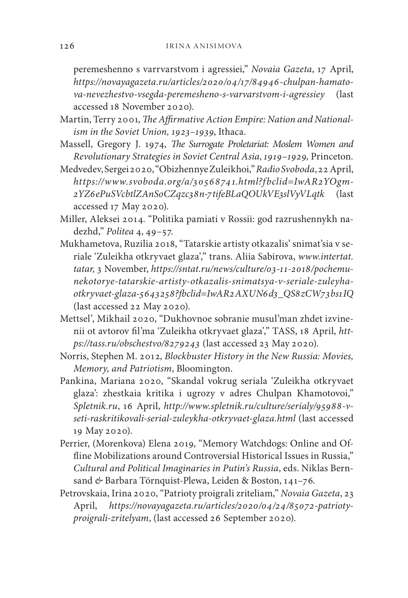peremeshenno s varrvarstvom i agressiei," *Novaia Gazeta*, 17 April, *https://novayagazeta.ru/articles/2020/04/17/84946-chulpan-hamatova-nevezhestvo-vsegda-peremesheno-s-varvarstvom-i-agressiey* (last accessed 18 November 2020).

- Martin, Terry 2001, *The Affirmative Action Empire: Nation and Nationalism in the Soviet Union, 1923–1939*, Ithaca.
- Massell, Gregory J. 1974, *The Surrogate Proletariat: Moslem Women and Revolutionary Strategies in Soviet Central Asia, 1919–1929,* Princeton*.*
- Medvedev, Sergei 2020, "Obizhennye Zuleikhoi," *Radio Svoboda*, 22 April, *https://www.svoboda.org/a/3056874 1.html?fbclid=IwAR2YOgm-2YZ6ePuSVcbtlZAnSoCZqzc38n-7tifeBLaQOUkVE3slVyVLqtk* (last accessed 17 May 2020).
- Miller, Aleksei 2014. "Politika pamiati v Rossii: god razrushennykh nadezhd," *Politea* 4, 49–57.
- Mukhametova, Ruzilia 2018, "Tatarskie artisty otkazalis' snimat'sia v seriale 'Zuleikha otkryvaet glaza'," trans. Aliia Sabirova, *www.intertat. tatar,* 3 November, *https://sntat.ru/news/culture/03-11-2018/pochemunekotorye-tatarskie-artisty-otkazalis-snimatsya-v-seriale-zuleyhaotkryvaet-glaza-5643258?fbclid=IwAR2AXUN6d3\_QS8zCW73bs1IQ* (last accessed 22 May 2020).
- Mettsel', Mikhail 2020, "Dukhovnoe sobranie musul'man zhdet izvinenii ot avtorov fil'ma 'Zuleikha otkryvaet glaza'," TASS, 18 April, *https://tass.ru/obschestvo/8279243* (last accessed 23 May 2020).
- Norris, Stephen M. 2012, *Blockbuster History in the New Russia: Movies, Memory, and Patriotism*, Bloomington.
- Pankina, Mariana 2020, "Skandal vokrug seriala 'Zuleikha otkryvaet glaza': zhestkaia kritika i ugrozy v adres Chulpan Khamotovoi," *Spletnik.ru*, 16 April, *http://www.spletnik.ru/culture/serialy/95988-vseti-raskritikovali-serial-zuleykha-otkryvaet-glaza.html* (last accessed 19 May 2020).
- Perrier, (Morenkova) Elena 2019, "Memory Watchdogs: Online and Offline Mobilizations around Controversial Historical Issues in Russia," *Cultural and Political Imaginaries in Putin's Russia*, eds. Niklas Bernsand *&* Barbara Törnquist-Plewa, Leiden & Boston, 141–76.
- Petrovskaia, Irina 2020, "Patrioty proigrali zriteliam," *Novaia Gazeta*, 23 April, *https://novayagazeta.ru/articles/2020/04/24/85072-patriotyproigrali-zritelyam*, (last accessed 26 September 2020).